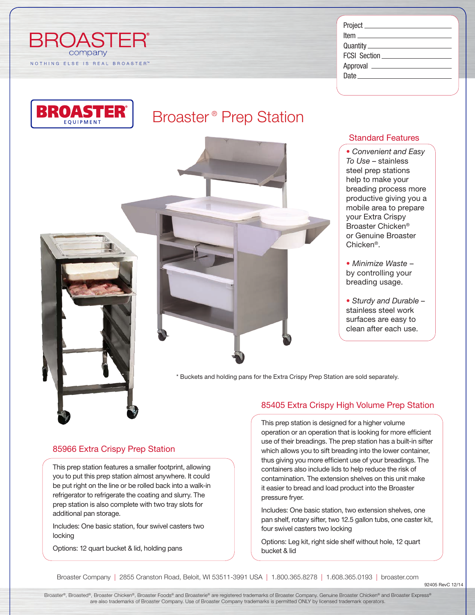

| Project ______________________ |
|--------------------------------|
|                                |
|                                |
|                                |
|                                |
|                                |
|                                |

# Broaster<sup>®</sup> Prep Station



### Standard Features

*• Convenient and Easy To Use* – stainless steel prep stations help to make your breading process more productive giving you a mobile area to prepare your Extra Crispy Broaster Chicken® or Genuine Broaster Chicken®.

*• Minimize Waste* – by controlling your breading usage.

*• Sturdy and Durable* – stainless steel work surfaces are easy to clean after each use.

\* Buckets and holding pans for the Extra Crispy Prep Station are sold separately.

#### 85405 Extra Crispy High Volume Prep Station

This prep station is designed for a higher volume operation or an operation that is looking for more efficient use of their breadings. The prep station has a built-in sifter which allows you to sift breading into the lower container, thus giving you more efficient use of your breadings. The containers also include lids to help reduce the risk of contamination. The extension shelves on this unit make it easier to bread and load product into the Broaster pressure fryer.

Includes: One basic station, two extension shelves, one pan shelf, rotary sifter, two 12.5 gallon tubs, one caster kit, four swivel casters two locking

Options: Leg kit, right side shelf without hole, 12 quart bucket & lid

Broaster Company | 2855 Cranston Road, Beloit, WI 53511-3991 USA | 1.800.365.8278 | 1.608.365.0193 | broaster.com

92405 RevC 12/14

Broaster®, Broasted®, Broaster Chicken®, Broaster Foods® and Broasterie® are registered trademarks of Broaster Company. Genuine Broaster Chicken® and Broaster Express® are also trademarks of Broaster Company. Use of Broaster Company trademarks is permitted ONLY by licensed trademark operators.

#### 85966 Extra Crispy Prep Station

This prep station features a smaller footprint, allowing you to put this prep station almost anywhere. It could be put right on the line or be rolled back into a walk-in refrigerator to refrigerate the coating and slurry. The prep station is also complete with two tray slots for additional pan storage.

Includes: One basic station, four swivel casters two locking

Options: 12 quart bucket & lid, holding pans